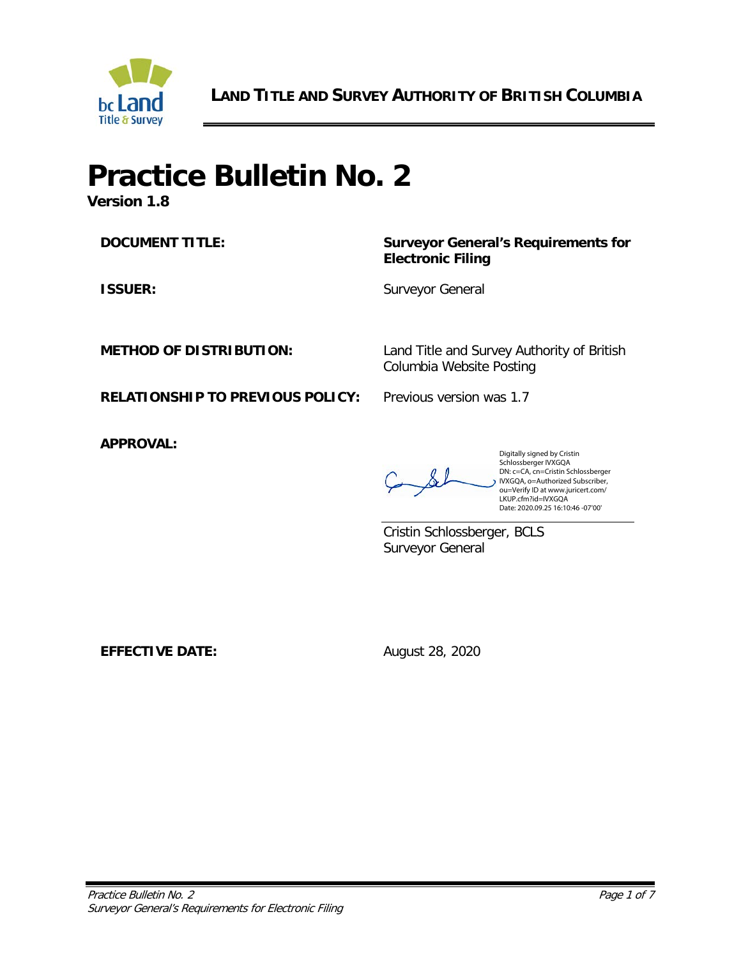

**LAND TITLE AND SURVEY AUTHORITY OF BRITISH COLUMBIA**

# **Practice Bulletin No. 2**

**Version 1.8**

**DOCUMENT TITLE: Surveyor General's Requirements for Electronic Filing**

**ISSUER:** Surveyor General

**METHOD OF DISTRIBUTION:** Land Title and Survey Authority of British Columbia Website Posting

**RELATIONSHIP TO PREVIOUS POLICY:** Previous version was 1.7

**APPROVAL:**

Digitally signed by Cristin Schlossberger IVXGQA DN: c=CA, cn=Cristin Schlossberger IVXGQA, o=Authorized Subscriber, ou=Verify ID at www.juricert.com/ LKUP.cfm?id=IVXGQA Date: 2020.09.25 16:10:46 -07'00'

Cristin Schlossberger, BCLS Surveyor General

**EFFECTIVE DATE:** August 28, 2020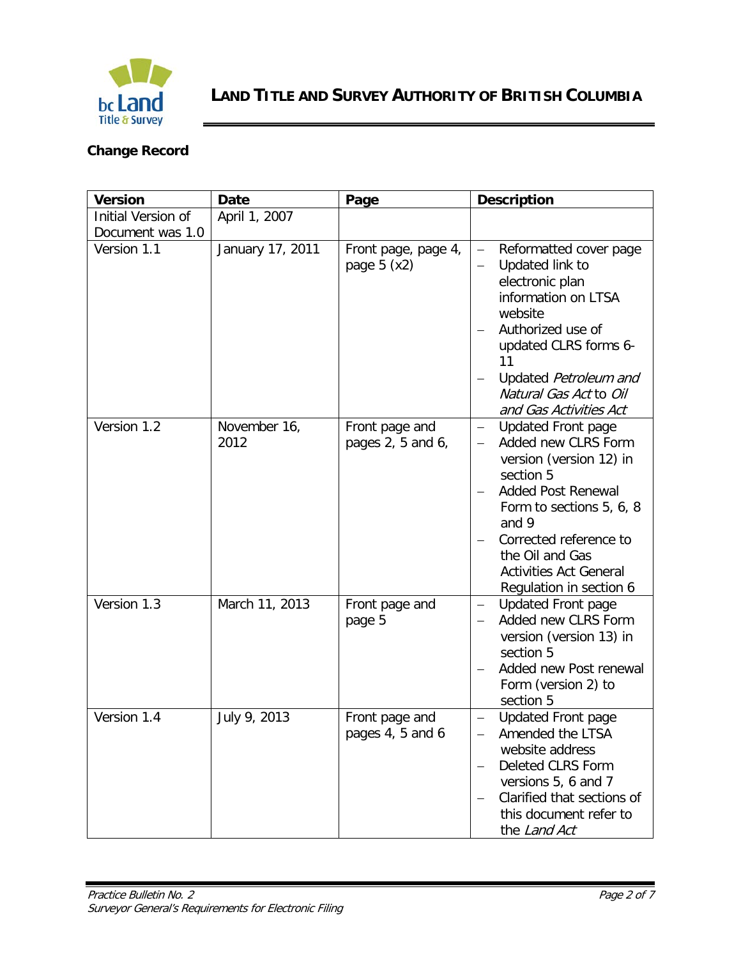

# **Change Record**

| <b>Version</b>     | <b>Date</b>          | Page                                | <b>Description</b>                                                                                                                                                                                                                                                                              |  |
|--------------------|----------------------|-------------------------------------|-------------------------------------------------------------------------------------------------------------------------------------------------------------------------------------------------------------------------------------------------------------------------------------------------|--|
| Initial Version of | April 1, 2007        |                                     |                                                                                                                                                                                                                                                                                                 |  |
| Document was 1.0   |                      |                                     |                                                                                                                                                                                                                                                                                                 |  |
| Version 1.1        | January 17, 2011     | Front page, page 4,<br>page $5(x2)$ | Reformatted cover page<br>$\overline{\phantom{0}}$<br>Updated link to<br>electronic plan<br>information on LTSA<br>website<br>Authorized use of<br>updated CLRS forms 6-<br>11<br>Updated Petroleum and<br>Natural Gas Act to Oil<br>and Gas Activities Act                                     |  |
| Version 1.2        | November 16,<br>2012 | Front page and<br>pages 2, 5 and 6, | <b>Updated Front page</b><br>$\overline{\phantom{0}}$<br>Added new CLRS Form<br>version (version 12) in<br>section 5<br><b>Added Post Renewal</b><br>Form to sections 5, 6, 8<br>and 9<br>Corrected reference to<br>the Oil and Gas<br><b>Activities Act General</b><br>Regulation in section 6 |  |
| Version 1.3        | March 11, 2013       | Front page and<br>page 5            | <b>Updated Front page</b><br>$\qquad \qquad -$<br>Added new CLRS Form<br>version (version 13) in<br>section 5<br>Added new Post renewal<br>Form (version 2) to<br>section 5                                                                                                                     |  |
| Version 1.4        | July 9, 2013         | Front page and<br>pages 4, 5 and 6  | <b>Updated Front page</b><br>Amended the LTSA<br>website address<br>Deleted CLRS Form<br>versions 5, 6 and 7<br>Clarified that sections of<br>this document refer to<br>the Land Act                                                                                                            |  |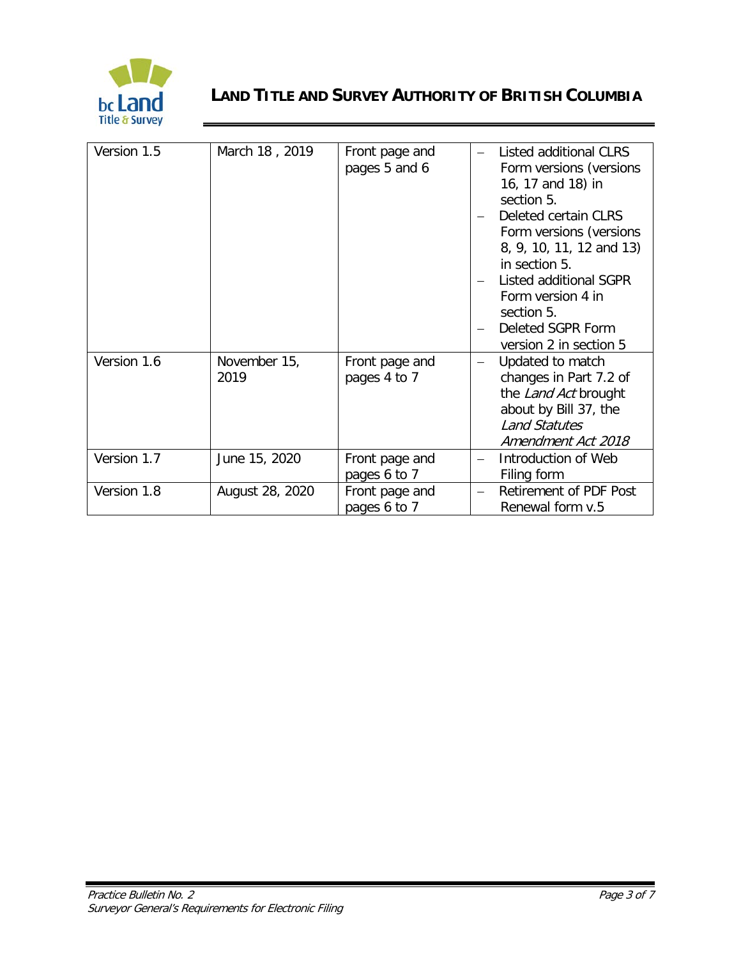

# **LAND TITLE AND SURVEY AUTHORITY OF BRITISH COLUMBIA**

| Version 1.5 | March 18, 2019       | Front page and<br>pages 5 and 6 | Listed additional CLRS<br>Form versions (versions<br>16, 17 and 18) in<br>section 5.<br>Deleted certain CLRS<br>Form versions (versions<br>8, 9, 10, 11, 12 and 13)<br>in section 5.<br>Listed additional SGPR<br>Form version 4 in<br>section 5.<br>Deleted SGPR Form<br>version 2 in section 5 |
|-------------|----------------------|---------------------------------|--------------------------------------------------------------------------------------------------------------------------------------------------------------------------------------------------------------------------------------------------------------------------------------------------|
| Version 1.6 | November 15,<br>2019 | Front page and<br>pages 4 to 7  | Updated to match<br>changes in Part 7.2 of<br>the Land Act brought<br>about by Bill 37, the<br><b>Land Statutes</b><br>Amendment Act 2018                                                                                                                                                        |
| Version 1.7 | June 15, 2020        | Front page and<br>pages 6 to 7  | Introduction of Web<br>Filing form                                                                                                                                                                                                                                                               |
| Version 1.8 | August 28, 2020      | Front page and<br>pages 6 to 7  | Retirement of PDF Post<br>Renewal form v.5                                                                                                                                                                                                                                                       |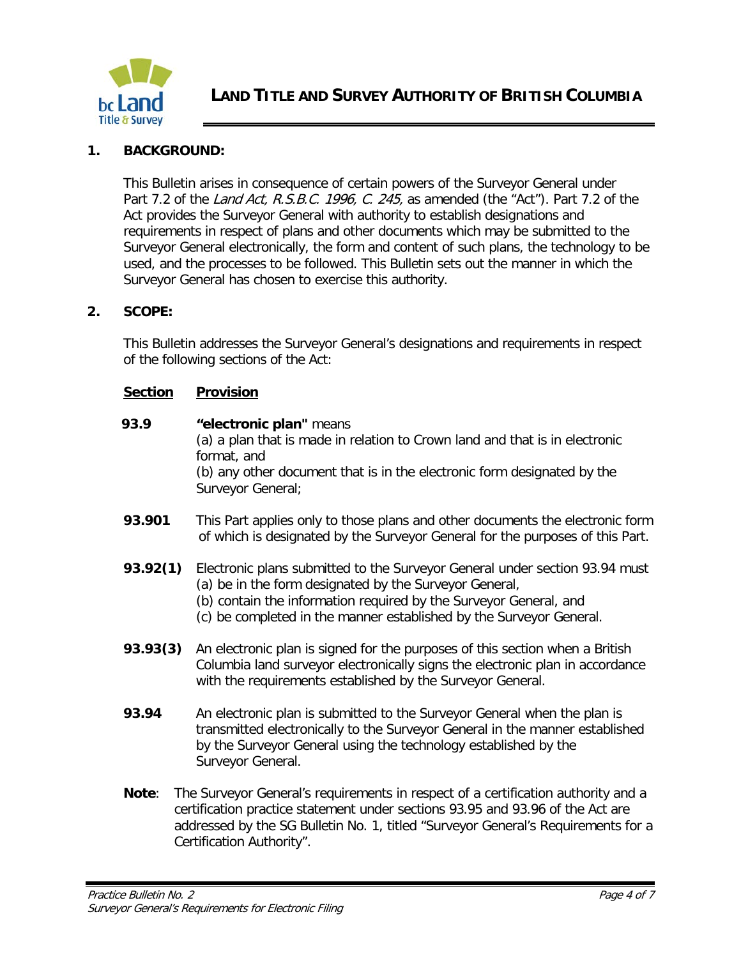

# **1. BACKGROUND:**

This Bulletin arises in consequence of certain powers of the Surveyor General under Part 7.2 of the Land Act, R.S.B.C. 1996, C. 245, as amended (the "Act"). Part 7.2 of the Act provides the Surveyor General with authority to establish designations and requirements in respect of plans and other documents which may be submitted to the Surveyor General electronically, the form and content of such plans, the technology to be used, and the processes to be followed. This Bulletin sets out the manner in which the Surveyor General has chosen to exercise this authority.

#### **2. SCOPE:**

This Bulletin addresses the Surveyor General's designations and requirements in respect of the following sections of the Act:

#### **Section Provision**

- **93.9 "electronic plan"** means (a) a plan that is made in relation to Crown land and that is in electronic format, and (b) any other document that is in the electronic form designated by the Surveyor General;
- **93.901** This Part applies only to those plans and other documents the electronic form of which is designated by the Surveyor General for the purposes of this Part.
- **93.92(1)** Electronic plans submitted to the Surveyor General under section 93.94 must (a) be in the form designated by the Surveyor General,
	- (b) contain the information required by the Surveyor General, and
	- (c) be completed in the manner established by the Surveyor General.
- **93.93(3)** An electronic plan is signed for the purposes of this section when a British Columbia land surveyor electronically signs the electronic plan in accordance with the requirements established by the Surveyor General.
- **93.94** An electronic plan is submitted to the Surveyor General when the plan is transmitted electronically to the Surveyor General in the manner established by the Surveyor General using the technology established by the Surveyor General.
- **Note**: The Surveyor General's requirements in respect of a certification authority and a certification practice statement under sections 93.95 and 93.96 of the Act are addressed by the SG Bulletin No. 1, titled "Surveyor General's Requirements for a Certification Authority".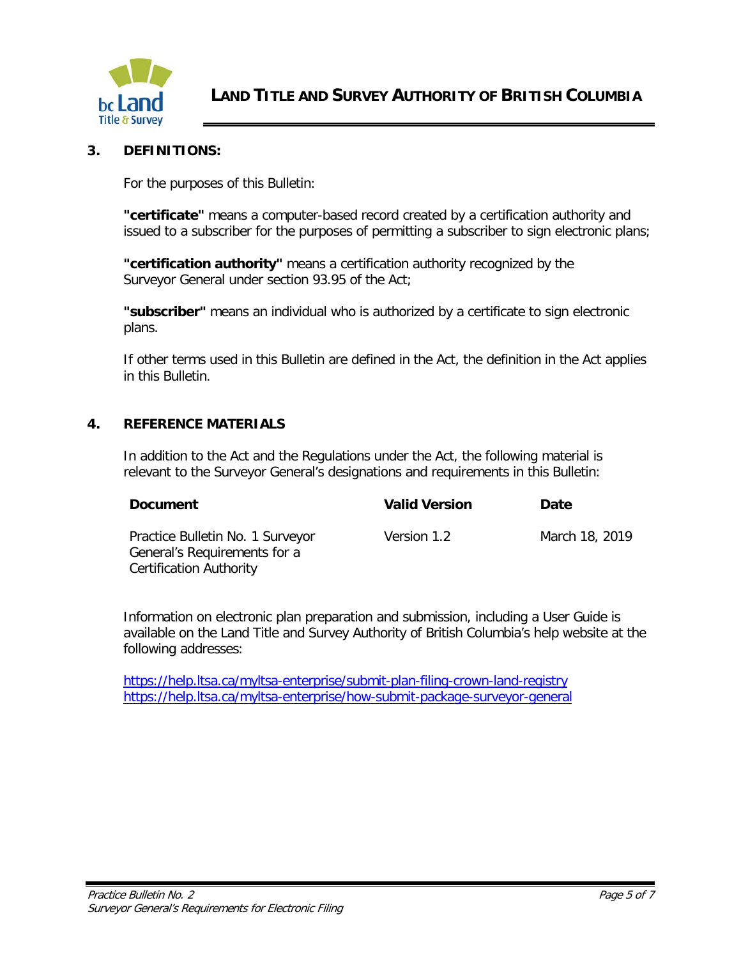

#### **3. DEFINITIONS:**

For the purposes of this Bulletin:

**"certificate"** means a computer-based record created by a certification authority and issued to a subscriber for the purposes of permitting a subscriber to sign electronic plans;

**"certification authority"** means a certification authority recognized by the Surveyor General under section 93.95 of the Act;

**"subscriber"** means an individual who is authorized by a certificate to sign electronic plans.

If other terms used in this Bulletin are defined in the Act, the definition in the Act applies in this Bulletin.

#### **4. REFERENCE MATERIALS**

In addition to the Act and the Regulations under the Act, the following material is relevant to the Surveyor General's designations and requirements in this Bulletin:

| <b>Document</b>                                                                             | <b>Valid Version</b> | Date           |
|---------------------------------------------------------------------------------------------|----------------------|----------------|
| Practice Bulletin No. 1 Surveyor<br>General's Requirements for a<br>Certification Authority | Version 1.2          | March 18, 2019 |

Information on electronic plan preparation and submission, including a User Guide is available on the Land Title and Survey Authority of British Columbia's help website at the following addresses:

<https://help.ltsa.ca/myltsa-enterprise/submit-plan-filing-crown-land-registry> <https://help.ltsa.ca/myltsa-enterprise/how-submit-package-surveyor-general>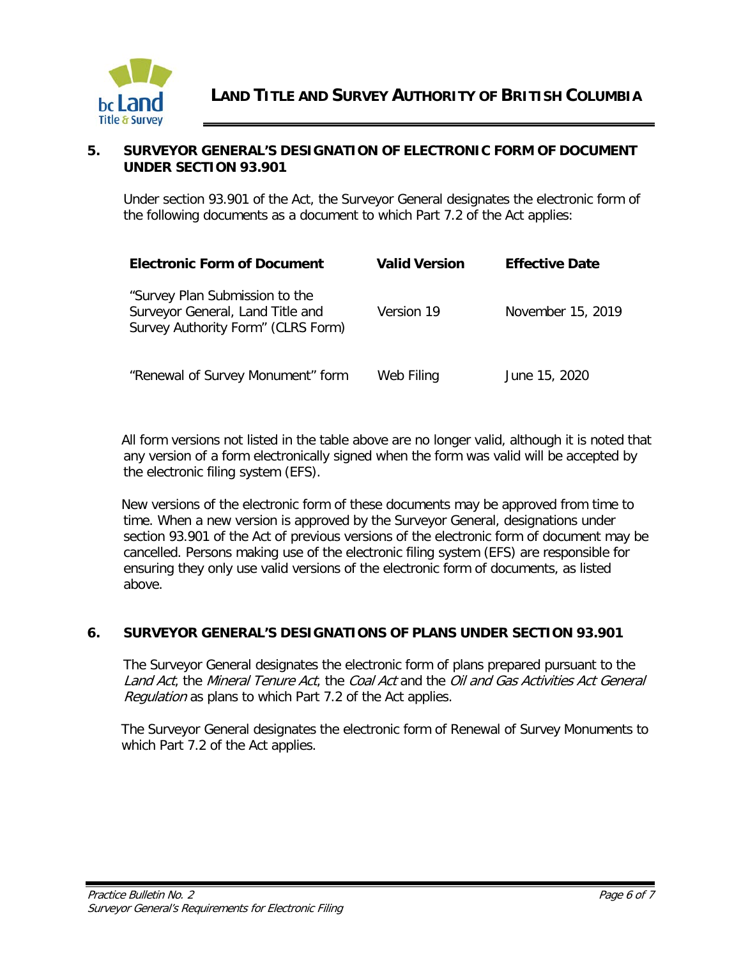

#### **5. SURVEYOR GENERAL'S DESIGNATION OF ELECTRONIC FORM OF DOCUMENT UNDER SECTION 93.901**

Under section 93.901 of the Act, the Surveyor General designates the electronic form of the following documents as a document to which Part 7.2 of the Act applies:

| <b>Electronic Form of Document</b>                                                                       | <b>Valid Version</b> | <b>Effective Date</b> |
|----------------------------------------------------------------------------------------------------------|----------------------|-----------------------|
| "Survey Plan Submission to the<br>Surveyor General, Land Title and<br>Survey Authority Form" (CLRS Form) | Version 19           | November 15, 2019     |
| "Renewal of Survey Monument" form                                                                        | Web Filing           | June 15, 2020         |

All form versions not listed in the table above are no longer valid, although it is noted that any version of a form electronically signed when the form was valid will be accepted by the electronic filing system (EFS).

New versions of the electronic form of these documents may be approved from time to time. When a new version is approved by the Surveyor General, designations under section 93.901 of the Act of previous versions of the electronic form of document may be cancelled. Persons making use of the electronic filing system (EFS) are responsible for ensuring they only use valid versions of the electronic form of documents, as listed above.

## **6. SURVEYOR GENERAL'S DESIGNATIONS OF PLANS UNDER SECTION 93.901**

The Surveyor General designates the electronic form of plans prepared pursuant to the Land Act, the Mineral Tenure Act, the Coal Act and the Oil and Gas Activities Act General Regulation as plans to which Part 7.2 of the Act applies.

The Surveyor General designates the electronic form of Renewal of Survey Monuments to which Part 7.2 of the Act applies.